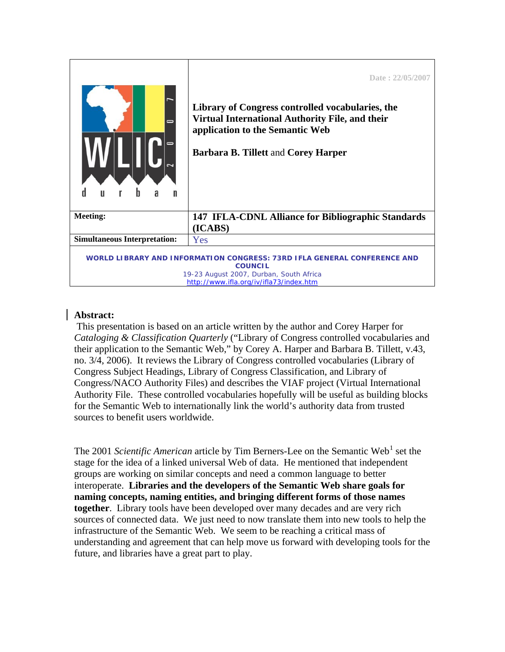|                                                                                                                                                                                  | Date: 22/05/2007<br>Library of Congress controlled vocabularies, the<br>Virtual International Authority File, and their<br>application to the Semantic Web<br><b>Barbara B. Tillett and Corey Harper</b> |
|----------------------------------------------------------------------------------------------------------------------------------------------------------------------------------|----------------------------------------------------------------------------------------------------------------------------------------------------------------------------------------------------------|
| <b>Meeting:</b>                                                                                                                                                                  | 147 IFLA-CDNL Alliance for Bibliographic Standards                                                                                                                                                       |
|                                                                                                                                                                                  | (ICABS)                                                                                                                                                                                                  |
| <b>Simultaneous Interpretation:</b>                                                                                                                                              | Yes                                                                                                                                                                                                      |
| WORLD LIBRARY AND INFORMATION CONGRESS: 73RD IFLA GENERAL CONFERENCE AND<br><b>COUNCIL</b><br>19-23 August 2007, Durban, South Africa<br>http://www.ifla.org/iv/ifla73/index.htm |                                                                                                                                                                                                          |

## **Abstract:**

 This presentation is based on an article written by the author and Corey Harper for *Cataloging & Classification Quarterly* ("Library of Congress controlled vocabularies and their application to the Semantic Web," by Corey A. Harper and Barbara B. Tillett, v.43, no. 3/4, 2006). It reviews the Library of Congress controlled vocabularies (Library of Congress Subject Headings, Library of Congress Classification, and Library of Congress/NACO Authority Files) and describes the VIAF project (Virtual International Authority File. These controlled vocabularies hopefully will be useful as building blocks for the Semantic Web to internationally link the world's authority data from trusted sources to benefit users worldwide.

The 200[1](#page-4-0) Scientific American article by Tim Berners-Lee on the Semantic Web<sup>1</sup> set the stage for the idea of a linked universal Web of data. He mentioned that independent groups are working on similar concepts and need a common language to better interoperate. **Libraries and the developers of the Semantic Web share goals for naming concepts, naming entities, and bringing different forms of those names together**. Library tools have been developed over many decades and are very rich sources of connected data. We just need to now translate them into new tools to help the infrastructure of the Semantic Web. We seem to be reaching a critical mass of understanding and agreement that can help move us forward with developing tools for the future, and libraries have a great part to play.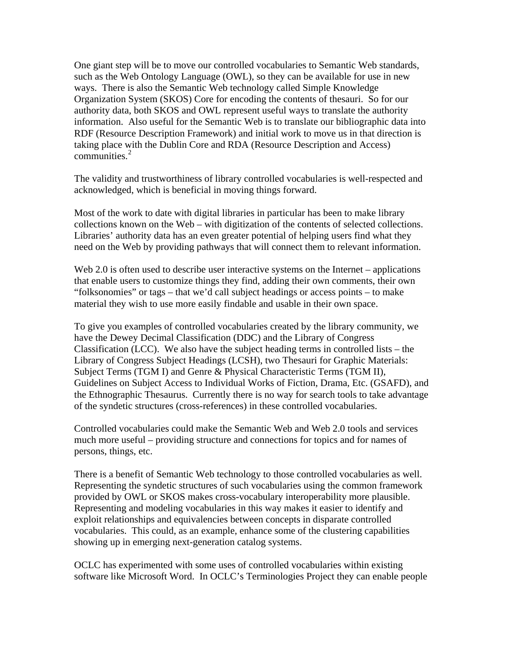One giant step will be to move our controlled vocabularies to Semantic Web standards, such as the Web Ontology Language (OWL), so they can be available for use in new ways. There is also the Semantic Web technology called Simple Knowledge Organization System (SKOS) Core for encoding the contents of thesauri. So for our authority data, both SKOS and OWL represent useful ways to translate the authority information. Also useful for the Semantic Web is to translate our bibliographic data into RDF (Resource Description Framework) and initial work to move us in that direction is taking place with the Dublin Core and RDA (Resource Description and Access) communities. $2$ 

The validity and trustworthiness of library controlled vocabularies is well-respected and acknowledged, which is beneficial in moving things forward.

Most of the work to date with digital libraries in particular has been to make library collections known on the Web – with digitization of the contents of selected collections. Libraries' authority data has an even greater potential of helping users find what they need on the Web by providing pathways that will connect them to relevant information.

Web 2.0 is often used to describe user interactive systems on the Internet – applications that enable users to customize things they find, adding their own comments, their own "folksonomies" or tags – that we'd call subject headings or access points – to make material they wish to use more easily findable and usable in their own space.

To give you examples of controlled vocabularies created by the library community, we have the Dewey Decimal Classification (DDC) and the Library of Congress Classification (LCC). We also have the subject heading terms in controlled lists – the Library of Congress Subject Headings (LCSH), two Thesauri for Graphic Materials: Subject Terms (TGM I) and Genre & Physical Characteristic Terms (TGM II), Guidelines on Subject Access to Individual Works of Fiction, Drama, Etc. (GSAFD), and the Ethnographic Thesaurus. Currently there is no way for search tools to take advantage of the syndetic structures (cross-references) in these controlled vocabularies.

Controlled vocabularies could make the Semantic Web and Web 2.0 tools and services much more useful – providing structure and connections for topics and for names of persons, things, etc.

There is a benefit of Semantic Web technology to those controlled vocabularies as well. Representing the syndetic structures of such vocabularies using the common framework provided by OWL or SKOS makes cross-vocabulary interoperability more plausible. Representing and modeling vocabularies in this way makes it easier to identify and exploit relationships and equivalencies between concepts in disparate controlled vocabularies. This could, as an example, enhance some of the clustering capabilities showing up in emerging next-generation catalog systems.

OCLC has experimented with some uses of controlled vocabularies within existing software like Microsoft Word. In OCLC's Terminologies Project they can enable people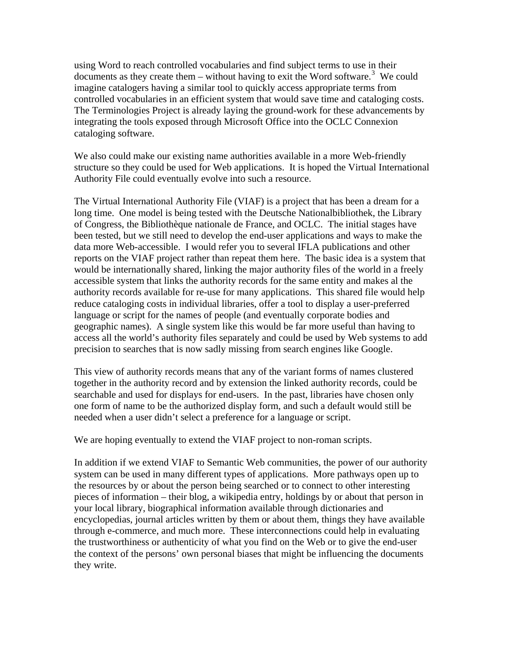using Word to reach controlled vocabularies and find subject terms to use in their documents as they create them  $-$  without having to exit the Word software.<sup>[3](#page-4-1)</sup> We could imagine catalogers having a similar tool to quickly access appropriate terms from controlled vocabularies in an efficient system that would save time and cataloging costs. The Terminologies Project is already laying the ground-work for these advancements by integrating the tools exposed through Microsoft Office into the OCLC Connexion cataloging software.

We also could make our existing name authorities available in a more Web-friendly structure so they could be used for Web applications. It is hoped the Virtual International Authority File could eventually evolve into such a resource.

The Virtual International Authority File (VIAF) is a project that has been a dream for a long time. One model is being tested with the Deutsche Nationalbibliothek, the Library of Congress, the Bibliothèque nationale de France, and OCLC. The initial stages have been tested, but we still need to develop the end-user applications and ways to make the data more Web-accessible. I would refer you to several IFLA publications and other reports on the VIAF project rather than repeat them here. The basic idea is a system that would be internationally shared, linking the major authority files of the world in a freely accessible system that links the authority records for the same entity and makes al the authority records available for re-use for many applications. This shared file would help reduce cataloging costs in individual libraries, offer a tool to display a user-preferred language or script for the names of people (and eventually corporate bodies and geographic names). A single system like this would be far more useful than having to access all the world's authority files separately and could be used by Web systems to add precision to searches that is now sadly missing from search engines like Google.

This view of authority records means that any of the variant forms of names clustered together in the authority record and by extension the linked authority records, could be searchable and used for displays for end-users. In the past, libraries have chosen only one form of name to be the authorized display form, and such a default would still be needed when a user didn't select a preference for a language or script.

We are hoping eventually to extend the VIAF project to non-roman scripts.

In addition if we extend VIAF to Semantic Web communities, the power of our authority system can be used in many different types of applications. More pathways open up to the resources by or about the person being searched or to connect to other interesting pieces of information – their blog, a wikipedia entry, holdings by or about that person in your local library, biographical information available through dictionaries and encyclopedias, journal articles written by them or about them, things they have available through e-commerce, and much more. These interconnections could help in evaluating the trustworthiness or authenticity of what you find on the Web or to give the end-user the context of the persons' own personal biases that might be influencing the documents they write.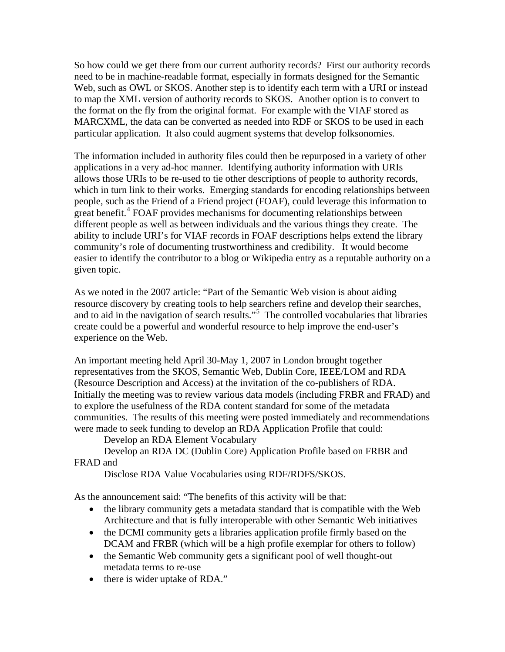So how could we get there from our current authority records? First our authority records need to be in machine-readable format, especially in formats designed for the Semantic Web, such as OWL or SKOS. Another step is to identify each term with a URI or instead to map the XML version of authority records to SKOS. Another option is to convert to the format on the fly from the original format. For example with the VIAF stored as MARCXML, the data can be converted as needed into RDF or SKOS to be used in each particular application. It also could augment systems that develop folksonomies.

The information included in authority files could then be repurposed in a variety of other applications in a very ad-hoc manner. Identifying authority information with URIs allows those URIs to be re-used to tie other descriptions of people to authority records, which in turn link to their works. Emerging standards for encoding relationships between people, such as the Friend of a Friend project (FOAF), could leverage this information to great benefit.<sup>[4](#page-4-1)</sup> FOAF provides mechanisms for documenting relationships between different people as well as between individuals and the various things they create. The ability to include URI's for VIAF records in FOAF descriptions helps extend the library community's role of documenting trustworthiness and credibility. It would become easier to identify the contributor to a blog or Wikipedia entry as a reputable authority on a given topic.

As we noted in the 2007 article: "Part of the Semantic Web vision is about aiding resource discovery by creating tools to help searchers refine and develop their searches, and to aid in the navigation of search results."[5](#page-4-1) The controlled vocabularies that libraries create could be a powerful and wonderful resource to help improve the end-user's experience on the Web.

An important meeting held April 30-May 1, 2007 in London brought together representatives from the SKOS, Semantic Web, Dublin Core, IEEE/LOM and RDA (Resource Description and Access) at the invitation of the co-publishers of RDA. Initially the meeting was to review various data models (including FRBR and FRAD) and to explore the usefulness of the RDA content standard for some of the metadata communities. The results of this meeting were posted immediately and recommendations were made to seek funding to develop an RDA Application Profile that could:

Develop an RDA Element Vocabulary

 Develop an RDA DC (Dublin Core) Application Profile based on FRBR and FRAD and

Disclose RDA Value Vocabularies using RDF/RDFS/SKOS.

As the announcement said: "The benefits of this activity will be that:

- the library community gets a metadata standard that is compatible with the Web Architecture and that is fully interoperable with other Semantic Web initiatives
- the DCMI community gets a libraries application profile firmly based on the DCAM and FRBR (which will be a high profile exemplar for others to follow)
- the Semantic Web community gets a significant pool of well thought-out metadata terms to re-use
- there is wider uptake of RDA."